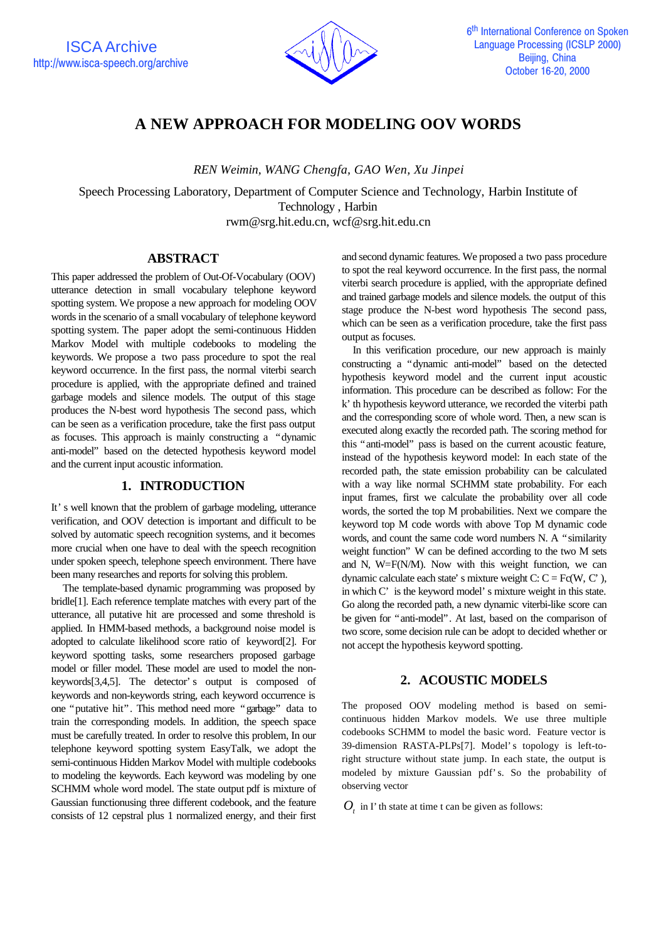

# **A NEW APPROACH FOR MODELING OOV WORDS**

*REN Weimin, WANG Chengfa, GAO Wen, Xu Jinpei*

Speech Processing Laboratory, Department of Computer Science and Technology, Harbin Institute of Technology , Harbin rwm@srg.hit.edu.cn, wcf@srg.hit.edu.cn

#### **ABSTRACT**

This paper addressed the problem of Out-Of-Vocabulary (OOV) utterance detection in small vocabulary telephone keyword spotting system. We propose a new approach for modeling OOV words in the scenario of a small vocabulary of telephone keyword spotting system. The paper adopt the semi-continuous Hidden Markov Model with multiple codebooks to modeling the keywords. We propose a two pass procedure to spot the real keyword occurrence. In the first pass, the normal viterbi search procedure is applied, with the appropriate defined and trained garbage models and silence models. The output of this stage produces the N-best word hypothesis The second pass, which can be seen as a verification procedure, take the first pass output as focuses. This approach is mainly constructing a "dynamic anti-model" based on the detected hypothesis keyword model and the current input acoustic information.

## **1. INTRODUCTION**

It's well known that the problem of garbage modeling, utterance verification, and OOV detection is important and difficult to be solved by automatic speech recognition systems, and it becomes more crucial when one have to deal with the speech recognition under spoken speech, telephone speech environment. There have been many researches and reports for solving this problem.

 The template-based dynamic programming was proposed by bridle[1]. Each reference template matches with every part of the utterance, all putative hit are processed and some threshold is applied. In HMM-based methods, a background noise model is adopted to calculate likelihood score ratio of keyword[2]. For keyword spotting tasks, some researchers proposed garbage model or filler model. These model are used to model the nonkeywords[3,4,5]. The detector's output is composed of keywords and non-keywords string, each keyword occurrence is one "putative hit". This method need more "garbage" data to train the corresponding models. In addition, the speech space must be carefully treated. In order to resolve this problem, In our telephone keyword spotting system EasyTalk, we adopt the semi-continuous Hidden Markov Model with multiple codebooks to modeling the keywords. Each keyword was modeling by one SCHMM whole word model. The state output pdf is mixture of Gaussian functionusing three different codebook, and the feature consists of 12 cepstral plus 1 normalized energy, and their first and second dynamic features. We proposed a two pass procedure to spot the real keyword occurrence. In the first pass, the normal viterbi search procedure is applied, with the appropriate defined and trained garbage models and silence models. the output of this stage produce the N-best word hypothesis The second pass, which can be seen as a verification procedure, take the first pass output as focuses.

In this verification procedure, our new approach is mainly constructing a "dynamic anti-model" based on the detected hypothesis keyword model and the current input acoustic information. This procedure can be described as follow: For the k'th hypothesis keyword utterance, we recorded the viterbi path and the corresponding score of whole word. Then, a new scan is executed along exactly the recorded path. The scoring method for this "anti-model" pass is based on the current acoustic feature, instead of the hypothesis keyword model: In each state of the recorded path, the state emission probability can be calculated with a way like normal SCHMM state probability. For each input frames, first we calculate the probability over all code words, the sorted the top M probabilities. Next we compare the keyword top M code words with above Top M dynamic code words, and count the same code word numbers N. A "similarity weight function" W can be defined according to the two M sets and N, W=F(N/M). Now with this weight function, we can dynamic calculate each state's mixture weight C:  $C = Fc(W, C),$ in which C' is the keyword model's mixture weight in this state. Go along the recorded path, a new dynamic viterbi-like score can be given for "anti-model". At last, based on the comparison of two score, some decision rule can be adopt to decided whether or not accept the hypothesis keyword spotting.

## **2. ACOUSTIC MODELS**

The proposed OOV modeling method is based on semicontinuous hidden Markov models. We use three multiple codebooks SCHMM to model the basic word. Feature vector is 39-dimension RASTA-PLPs[7]. Model's topology is left-toright structure without state jump. In each state, the output is modeled by mixture Gaussian pdf's. So the probability of observing vector

 $O_t$  in I' th state at time t can be given as follows: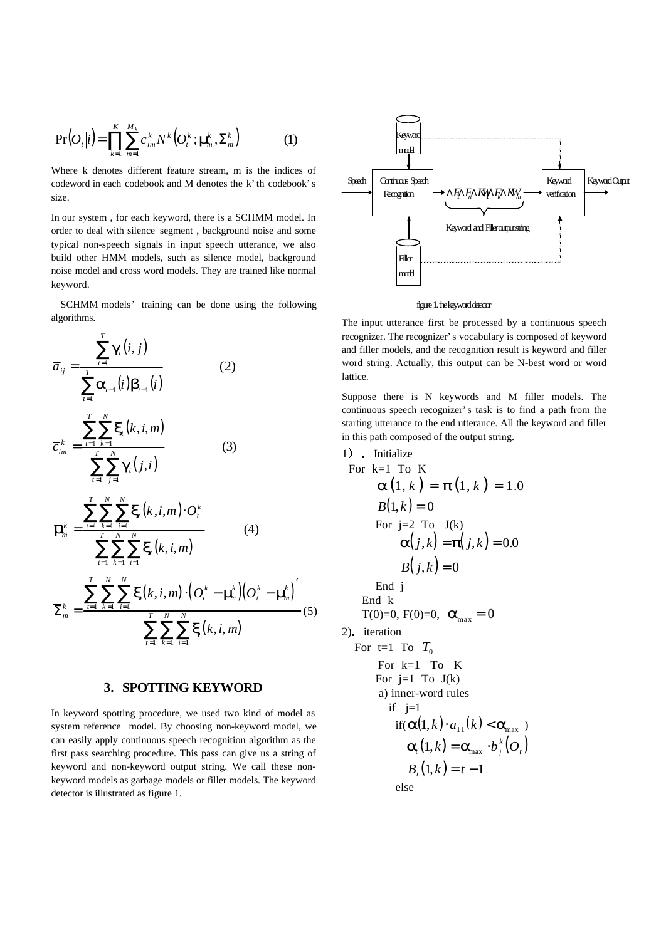$$
\Pr\left(O_t|i\right) = \prod_{k=1}^K \sum_{m=1}^{M_k} c_{im}^k N^k \left(O_t^k; \mathbf{m}_m^k, \Sigma_m^k\right) \tag{1}
$$

Where k denotes different feature stream, m is the indices of codeword in each codebook and M denotes the k'th codebook's size.

In our system , for each keyword, there is a SCHMM model. In order to deal with silence segment , background noise and some typical non-speech signals in input speech utterance, we also build other HMM models, such as silence model, background noise model and cross word models. They are trained like normal keyword.

 SCHMM models' training can be done using the following algorithms.

$$
\overline{a}_{ij} = \frac{\sum_{t=1}^{T} \mathbf{g}_{i}(i, j)}{\sum_{t=1}^{T} \mathbf{a}_{t-1}(i) \mathbf{b}_{t-1}(i)}
$$
(2)  

$$
\overline{c}_{im}^{k} = \frac{\sum_{t=1}^{T} \sum_{k=1}^{N} \mathbf{x}_{i}(k, i, m)}{\sum_{t=1}^{T} \sum_{j=1}^{N} \mathbf{g}_{i}(j, i)}
$$
(3)  

$$
\overline{\mathbf{m}}_{m}^{k} = \frac{\sum_{t=1}^{T} \sum_{k=1}^{N} \sum_{i=1}^{N} \mathbf{x}_{i}(k, i, m) \cdot O_{t}^{k}}{\sum_{t=1}^{T} \sum_{k=1}^{N} \sum_{i=1}^{N} \mathbf{x}_{i}(k, i, m)}
$$
(4)  

$$
\sum_{k}^{k} = \frac{\sum_{t=1}^{T} \sum_{k=1}^{N} \sum_{i=1}^{N} \mathbf{x}(k, i, m) \cdot (O_{t}^{k} - \mathbf{m}_{m}^{k})(O_{t}^{k} - \mathbf{m}_{m}^{k})}{\sum_{t=1}^{T} \sum_{k=1}^{N} \sum_{i=1}^{N} \mathbf{x}(k, i, m)}
$$
(5)

#### **3. SPOTTING KEYWORD**

In keyword spotting procedure, we used two kind of model as system reference model. By choosing non-keyword model, we can easily apply continuous speech recognition algorithm as the first pass searching procedure. This pass can give us a string of keyword and non-keyword output string. We call these nonkeyword models as garbage models or filler models. The keyword detector is illustrated as figure 1.



figure 1. the keyword detector

The input utterance first be processed by a continuous speech recognizer. The recognizer's vocabulary is composed of keyword and filler models, and the recognition result is keyword and filler word string. Actually, this output can be N-best word or word lattice.

Suppose there is N keywords and M filler models. The continuous speech recognizer's task is to find a path from the starting utterance to the end utterance. All the keyword and filler in this path composed of the output string.

1) Initialize  
\nFor k=1 To K  
\n
$$
\mathbf{a}(1, k) = \mathbf{p}(1, k) = 1.0
$$
  
\n $B(1, k) = 0$   
\nFor j=2 To J(k)  
\n $\mathbf{a}(j, k) = \mathbf{p}(j, k) = 0.0$   
\n $B(j, k) = 0$   
\nEnd j  
\nEnd k  
\n $T(0)=0, F(0)=0, \mathbf{a}_{max} = 0$   
\n2). iteration  
\nFor t=1 To J  
\nFor j=1 To J(k)  
\na) inner-word rules  
\nif j=1  
\nif( $\mathbf{a}(1, k) \cdot a_{11}(k) < \mathbf{a}_{max}$ )  
\n $\mathbf{a}_i(1, k) = \mathbf{a}_{max} \cdot b_j^k(O_i)$   
\n $B_i(1, k) = t - 1$   
\nelse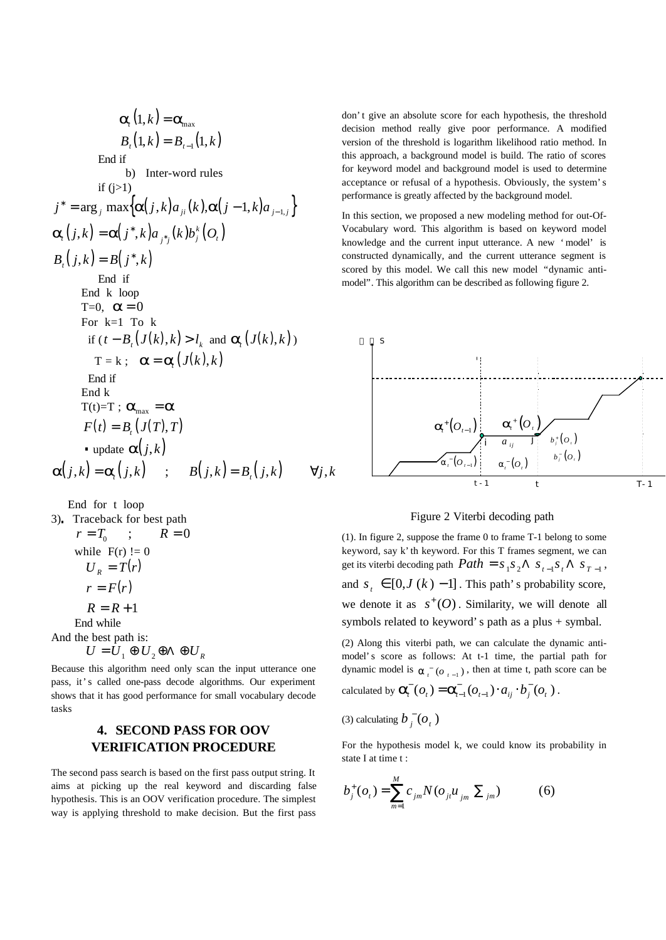$$
a_{i}(1,k) = a_{max}
$$
\n
$$
B_{i}(1,k) = B_{i-1}(1,k)
$$
\nEnd if\nb) Inter-word rules\nif (j>1)\n
$$
j^* = \arg_{j} \max \{a(j,k)a_{ji}(k), a(j-1,k)a_{j-1,j}\}
$$
\n
$$
a_{i}(j,k) = a(j^*,k)a_{j^*j}(k)b_{j}^{k}(O_{i})
$$
\n
$$
B_{i}(j,k) = B(j^*,k)
$$
\nEnd if\nEnd k loop\nT=0, a=0\nFor k=1 To k\nif (t - B\_{i}(J(k),k) > l\_k and a\_{i}(J(k),k))\nT = k; a = a\_{i}(J(k),k)\nEnd if\nEnd k\nT(t)=T; a\_{max} = a\nF(t) = B\_{i}(J(T),T)\n\n- update a(j,k)\n\n
$$
a(j,k) = B_{i}(j,k) \quad \forall j,k
$$

End for t loop

3) Traceback for best path  
\n
$$
r = T_0
$$
;  $R = 0$   
\nwhile F(r) != 0  
\n $U_R = T(r)$   
\n $r = F(r)$   
\n $R = R + 1$   
\nEnd while  
\nAnd the best path is:  
\n $U = U_1 \oplus U_2 \oplus A \oplus U_R$ 

Because this algorithm need only scan the input utterance one pass, it's called one-pass decode algorithms. Our experiment shows that it has good performance for small vocabulary decode tasks

# **4. SECOND PASS FOR OOV VERIFICATION PROCEDURE**

The second pass search is based on the first pass output string. It aims at picking up the real keyword and discarding false hypothesis. This is an OOV verification procedure. The simplest way is applying threshold to make decision. But the first pass don't give an absolute score for each hypothesis, the threshold decision method really give poor performance. A modified version of the threshold is logarithm likelihood ratio method. In this approach, a background model is build. The ratio of scores for keyword model and background model is used to determine acceptance or refusal of a hypothesis. Obviously, the system's performance is greatly affected by the background model.

In this section, we proposed a new modeling method for out-Of-Vocabulary word. This algorithm is based on keyword model knowledge and the current input utterance. A new 'model' is constructed dynamically, and the current utterance segment is scored by this model. We call this new model "dynamic antimodel". This algorithm can be described as following figure 2.



#### Figure 2 Viterbi decoding path

(1). In figure 2, suppose the frame 0 to frame T-1 belong to some keyword, say k'th keyword. For this T frames segment, we can get its viterbi decoding path  $Path = s_1 s_2 \Lambda s_{t-1} s_t \Lambda s_{T-1}$ , and  $s_t \in [0, J (k) - 1]$ . This path's probability score, we denote it as  $s^+(O)$ . Similarity, we will denote all symbols related to keyword's path as a plus + symbal.

(2) Along this viterbi path, we can calculate the dynamic antimodel's score as follows: At t-1 time, the partial path for dynamic model is  $\boldsymbol{a}_{t}^{\dagger}$  ( $\sigma_{t-1}$ ), then at time t, path score can be calculated by  $\vec{a}_i^-(o_i) = \vec{a}_{i-1}^-(o_{i-1}) \cdot a_{ij} \cdot \vec{b}_j^-(o_i)$ − − −  $\mathbf{a}_{i}^{\dagger}(o_{t}) = \mathbf{a}_{i-1}^{\dagger}(o_{t-1}) \cdot a_{ii} \cdot b_{i}^{\dagger}(o_{t}).$ 

(3) calculating 
$$
b_j^-(o_t)
$$

For the hypothesis model k, we could know its probability in state I at time t :

$$
b_j^+(o_t) = \sum_{m=1}^M c_{jm} N(o_{jt} u_{jm} \sum_{jm})
$$
 (6)